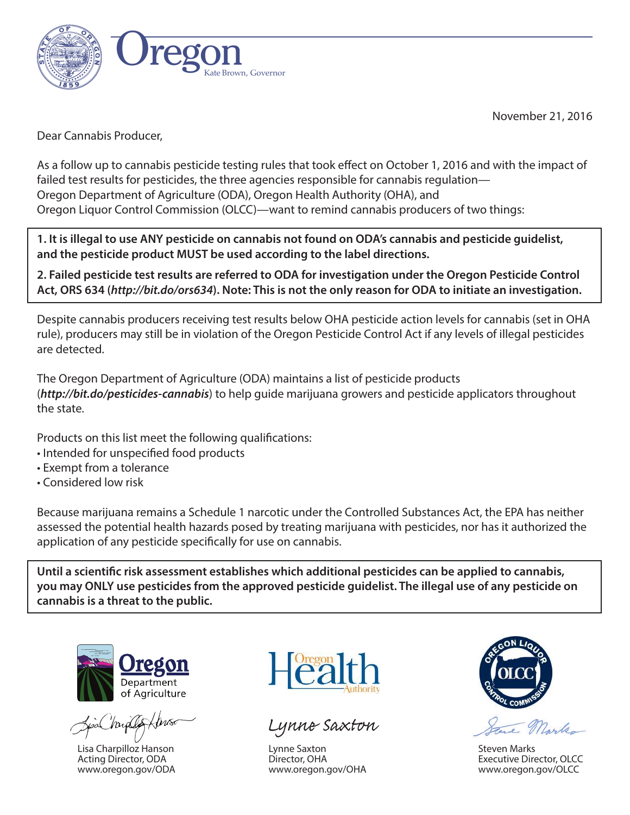

November 21, 2016

Dear Cannabis Producer,

As a follow up to cannabis pesticide testing rules that took effect on October 1, 2016 and with the impact of failed test results for pesticides, the three agencies responsible for cannabis regulation— Oregon Department of Agriculture (ODA), Oregon Health Authority (OHA), and Oregon Liquor Control Commission (OLCC)—want to remind cannabis producers of two things:

**1. It is illegal to use ANY pesticide on cannabis not found on ODA's cannabis and pesticide guidelist, and the pesticide product MUST be used according to the label directions.**

**2. Failed pesticide test results are referred to ODA for investigation under the Oregon Pesticide Control Act, ORS 634 (***<http://bit.do/ors634>***). Note: This is not the only reason for ODA to initiate an investigation.** 

Despite cannabis producers receiving test results below OHA pesticide action levels for cannabis (set in OHA rule), producers may still be in violation of the Oregon Pesticide Control Act if any levels of illegal pesticides are detected.

The Oregon Department of Agriculture (ODA) maintains a list of pesticide products (*<http://bit.do/pesticides-cannabis>*) to help guide marijuana growers and pesticide applicators throughout the state.

Products on this list meet the following qualifications:

- Intended for unspecified food products
- Exempt from a tolerance
- Considered low risk

Because marijuana remains a Schedule 1 narcotic under the Controlled Substances Act, the EPA has neither assessed the potential health hazards posed by treating marijuana with pesticides, nor has it authorized the application of any pesticide specifically for use on cannabis.

Until a scientific risk assessment establishes which additional pesticides can be applied to cannabis, **you may ONLY use pesticides from the approved pesticide guidelist. The illegal use of any pesticide on cannabis is a threat to the public.**



Lisa Charpilloz Hanson Acting Director, ODA [www.oregon.gov/ODA](http://www.oregon.gov/ODA/Pages/default.aspx)



Lynne Saxton

Lynne Saxton Director, OHA [www.oregon.gov/OHA](http://www.oregon.gov/OHA/Pages/index.aspx)



Steven Marks Executive Director, OLCC [www.oregon.gov/OLCC](http://www.oregon.gov/OLCC/Pages/index.aspx)